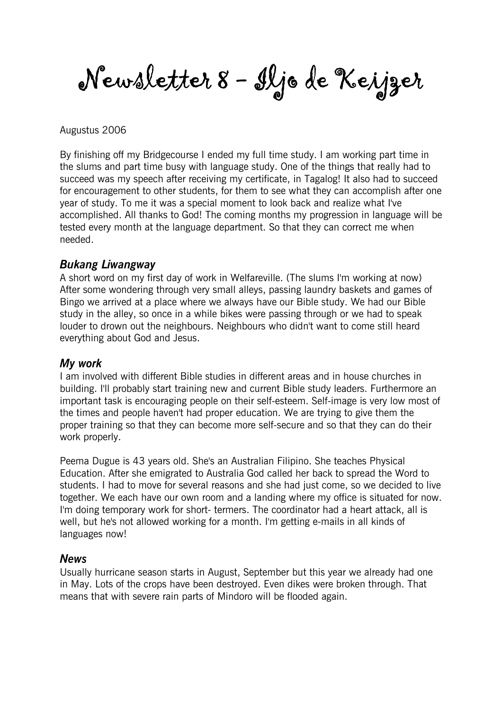Newsletter 8 - Iljo de Keijzer

#### Augustus 2006

By finishing off my Bridgecourse I ended my full time study. I am working part time in the slums and part time busy with language study. One of the things that really had to succeed was my speech after receiving my certificate, in Tagalog! It also had to succeed for encouragement to other students, for them to see what they can accomplish after one year of study. To me it was a special moment to look back and realize what I've accomplished. All thanks to God! The coming months my progression in language will be tested every month at the language department. So that they can correct me when needed.

#### Bukang Liwangway

A short word on my first day of work in Welfareville. (The slums I'm working at now) After some wondering through very small alleys, passing laundry baskets and games of Bingo we arrived at a place where we always have our Bible study. We had our Bible study in the alley, so once in a while bikes were passing through or we had to speak louder to drown out the neighbours. Neighbours who didn't want to come still heard everything about God and Jesus.

#### My work

I am involved with different Bible studies in different areas and in house churches in building. I'll probably start training new and current Bible study leaders. Furthermore an important task is encouraging people on their self-esteem. Self-image is very low most of the times and people haven't had proper education. We are trying to give them the proper training so that they can become more self-secure and so that they can do their work properly.

Peema Dugue is 43 years old. She's an Australian Filipino. She teaches Physical Education. After she emigrated to Australia God called her back to spread the Word to students. I had to move for several reasons and she had just come, so we decided to live together. We each have our own room and a landing where my office is situated for now. I'm doing temporary work for short- termers. The coordinator had a heart attack, all is well, but he's not allowed working for a month. I'm getting e-mails in all kinds of languages now!

#### News

Usually hurricane season starts in August, September but this year we already had one in May. Lots of the crops have been destroyed. Even dikes were broken through. That means that with severe rain parts of Mindoro will be flooded again.